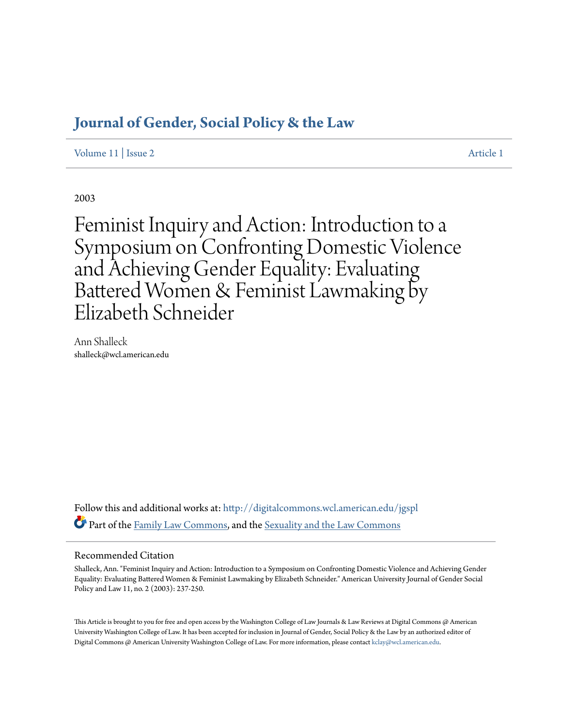# **[Journal of Gender, Social Policy & the Law](http://digitalcommons.wcl.american.edu/jgspl?utm_source=digitalcommons.wcl.american.edu%2Fjgspl%2Fvol11%2Fiss2%2F1&utm_medium=PDF&utm_campaign=PDFCoverPages)**

[Volume 11](http://digitalcommons.wcl.american.edu/jgspl/vol11?utm_source=digitalcommons.wcl.american.edu%2Fjgspl%2Fvol11%2Fiss2%2F1&utm_medium=PDF&utm_campaign=PDFCoverPages) | [Issue 2](http://digitalcommons.wcl.american.edu/jgspl/vol11/iss2?utm_source=digitalcommons.wcl.american.edu%2Fjgspl%2Fvol11%2Fiss2%2F1&utm_medium=PDF&utm_campaign=PDFCoverPages) [Article 1](http://digitalcommons.wcl.american.edu/jgspl/vol11/iss2/1?utm_source=digitalcommons.wcl.american.edu%2Fjgspl%2Fvol11%2Fiss2%2F1&utm_medium=PDF&utm_campaign=PDFCoverPages)

2003

Feminist Inquiry and Action: Introduction to a Symposium on Confronting Domestic Violence and Achieving Gender Equality: Evaluating Battered Women & Feminist Lawmaking by Elizabeth Schneider

Ann Shalleck shalleck@wcl.american.edu

Follow this and additional works at: [http://digitalcommons.wcl.american.edu/jgspl](http://digitalcommons.wcl.american.edu/jgspl?utm_source=digitalcommons.wcl.american.edu%2Fjgspl%2Fvol11%2Fiss2%2F1&utm_medium=PDF&utm_campaign=PDFCoverPages) Part of the [Family Law Commons,](http://network.bepress.com/hgg/discipline/602?utm_source=digitalcommons.wcl.american.edu%2Fjgspl%2Fvol11%2Fiss2%2F1&utm_medium=PDF&utm_campaign=PDFCoverPages) and the [Sexuality and the Law Commons](http://network.bepress.com/hgg/discipline/877?utm_source=digitalcommons.wcl.american.edu%2Fjgspl%2Fvol11%2Fiss2%2F1&utm_medium=PDF&utm_campaign=PDFCoverPages)

# Recommended Citation

Shalleck, Ann. "Feminist Inquiry and Action: Introduction to a Symposium on Confronting Domestic Violence and Achieving Gender Equality: Evaluating Battered Women & Feminist Lawmaking by Elizabeth Schneider." American University Journal of Gender Social Policy and Law 11, no. 2 (2003): 237-250.

This Article is brought to you for free and open access by the Washington College of Law Journals & Law Reviews at Digital Commons @ American University Washington College of Law. It has been accepted for inclusion in Journal of Gender, Social Policy & the Law by an authorized editor of Digital Commons @ American University Washington College of Law. For more information, please contact [kclay@wcl.american.edu.](mailto:kclay@wcl.american.edu)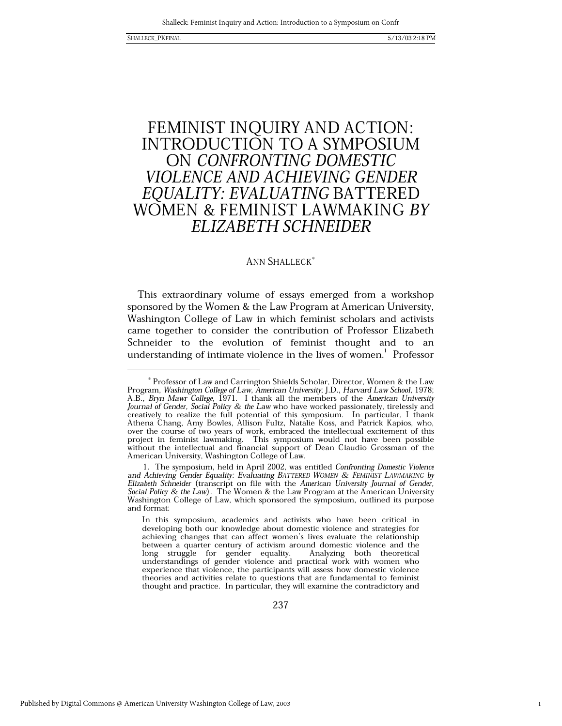$\mathbf{1}$ 

# FEMINIST INQUIRY AND ACTION: **INTRODUCTION TO A SYMPOSIUM** ON CONFRONTING DOMESTIC *VIOLENCE AND ACHIEVING GENDER* EQUALITY: EVALUATING BATTERED<br>WOMEN & FEMINIST LAWMAKING BY ELIZABETH SCHNEIDER

# **ANN SHALLECK<sup>\*</sup>**

This extraordinary volume of essays emerged from a workshop sponsored by the Women & the Law Program at American University, Washington College of Law in which feminist scholars and activists came together to consider the contribution of Professor Elizabeth Schneider to the evolution of feminist thought and to an understanding of intimate violence in the lives of women.<sup>1</sup> Professor

<sup>\*</sup> Professor of Law and Carrington Shields Scholar, Director, Women & the Law Program, Washington College of Law, American University, J.D., Harvard Law School, 1978; A.B., Bryn Mawr College, 1971. I thank all the members of the American University Journal of Gender, Social Policy & the Law who have worked passionately, tirelessly and creatively to realize the full potential of this symposium. In particular, I thank Athena Chang, Amy Bowles, Allison Fultz, Natalie Koss, and Patrick Kapios, who, over the course of two years of work, embraced the intellectual excitement of this project in feminist lawmaking. This symposium would not have been possible without the intellectual and financial support of Dean Claudio Grossman of the American University, Washington College of Law.

<sup>1.</sup> The symposium, held in April 2002, was entitled Confronting Domestic Violence and Achieving Gender Equality: Evaluating BATTERED WOMEN & FEMINIST LAWMAKING by Elizabeth Schneider (transcript on file with the American University Journal of Gender, Social Policy & the Law). The Women & the Law Program at the American University Washington College of Law, which sponsored the symposium, outlined its purpose and format:

In this symposium, academics and activists who have been critical in developing both our knowledge about domestic violence and strategies for achieving changes that can affect women's lives evaluate the relationship between a quarter century of activism around domestic violence and the long struggle for gender equality. Analyzing both theoretical understandings of gender violence and practical work with women who experience that violence, the participants will assess how domestic violence theories and activities relate to questions that are fundamental to feminist thought and practice. In particular, they will examine the contradictory and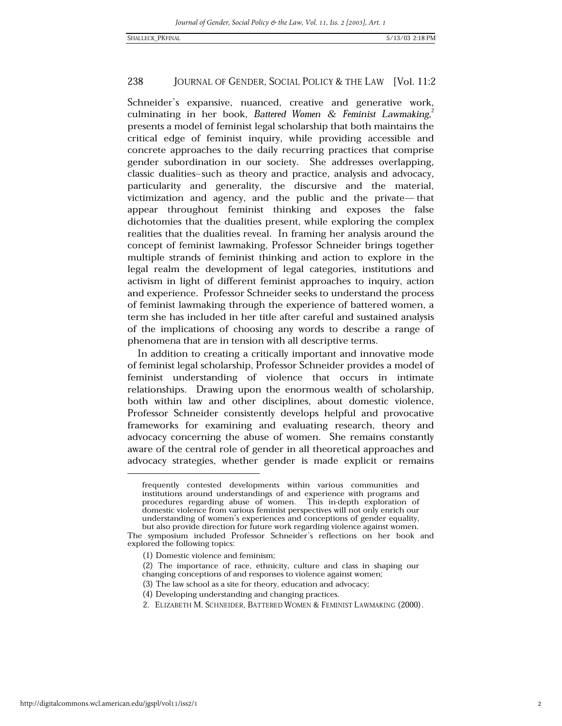Schneider's expansive, nuanced, creative and generative work, culminating in her book, Battered Women & Feminist Lawmaking. presents a model of feminist legal scholarship that both maintains the critical edge of feminist inquiry, while providing accessible and concrete approaches to the daily recurring practices that comprise gender subordination in our society. She addresses overlapping, classic dualities-such as theory and practice, analysis and advocacy, particularity and generality, the discursive and the material, victimization and agency, and the public and the private—that appear throughout feminist thinking and exposes the false dichotomies that the dualities present, while exploring the complex realities that the dualities reveal. In framing her analysis around the concept of feminist lawmaking, Professor Schneider brings together multiple strands of feminist thinking and action to explore in the legal realm the development of legal categories, institutions and activism in light of different feminist approaches to inquiry, action and experience. Professor Schneider seeks to understand the process of feminist lawmaking through the experience of battered women, a term she has included in her title after careful and sustained analysis of the implications of choosing any words to describe a range of phenomena that are in tension with all descriptive terms.

In addition to creating a critically important and innovative mode of feminist legal scholarship, Professor Schneider provides a model of feminist understanding of violence that occurs in intimate relationships. Drawing upon the enormous wealth of scholarship, both within law and other disciplines, about domestic violence, Professor Schneider consistently develops helpful and provocative frameworks for examining and evaluating research, theory and advocacy concerning the abuse of women. She remains constantly aware of the central role of gender in all theoretical approaches and advocacy strategies, whether gender is made explicit or remains

2. ELIZABETH M. SCHNEIDER, BATTERED WOMEN & FEMINIST LAWMAKING (2000).

frequently contested developments within various communities and institutions around understandings of and experience with programs and procedures regarding abuse of women. This in-depth exploration of domestic violence from various feminist perspectives will not only enrich our understanding of women's experiences and conceptions of gender equality, but also provide direction for future work regarding violence against women.

The symposium included Professor Schneider's reflections on her book and explored the following topics:

<sup>(1)</sup> Domestic violence and feminism;

<sup>(2)</sup> The importance of race, ethnicity, culture and class in shaping our changing conceptions of and responses to violence against women;

<sup>(3)</sup> The law school as a site for theory, education and advocacy;

<sup>(4)</sup> Developing understanding and changing practices.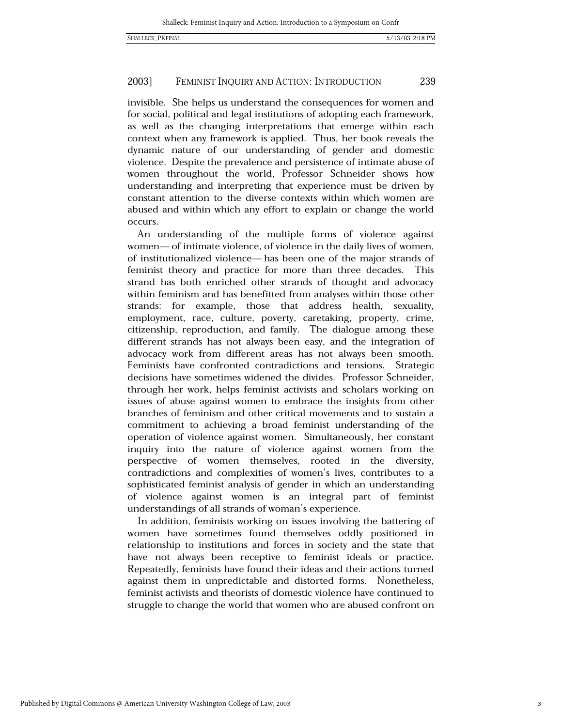#### 239 2003] **FEMINIST INQUIRY AND ACTION: INTRODUCTION**

invisible. She helps us understand the consequences for women and for social, political and legal institutions of adopting each framework, as well as the changing interpretations that emerge within each context when any framework is applied. Thus, her book reveals the dynamic nature of our understanding of gender and domestic violence. Despite the prevalence and persistence of intimate abuse of women throughout the world, Professor Schneider shows how understanding and interpreting that experience must be driven by constant attention to the diverse contexts within which women are abused and within which any effort to explain or change the world occurs.

An understanding of the multiple forms of violence against women— of intimate violence, of violence in the daily lives of women, of institutionalized violence— has been one of the major strands of feminist theory and practice for more than three decades. This strand has both enriched other strands of thought and advocacy within feminism and has benefitted from analyses within those other strands: for example, those that address health, sexuality, employment, race, culture, poverty, caretaking, property, crime, citizenship, reproduction, and family. The dialogue among these different strands has not always been easy, and the integration of advocacy work from different areas has not always been smooth. Feminists have confronted contradictions and tensions. Strategic decisions have sometimes widened the divides. Professor Schneider, through her work, helps feminist activists and scholars working on issues of abuse against women to embrace the insights from other branches of feminism and other critical movements and to sustain a commitment to achieving a broad feminist understanding of the operation of violence against women. Simultaneously, her constant inquiry into the nature of violence against women from the perspective of women themselves, rooted in the diversity, contradictions and complexities of women's lives, contributes to a sophisticated feminist analysis of gender in which an understanding of violence against women is an integral part of feminist understandings of all strands of woman's experience.

In addition, feminists working on issues involving the battering of women have sometimes found themselves oddly positioned in relationship to institutions and forces in society and the state that have not always been receptive to feminist ideals or practice. Repeatedly, feminists have found their ideas and their actions turned against them in unpredictable and distorted forms. Nonetheless, feminist activists and theorists of domestic violence have continued to struggle to change the world that women who are abused confront on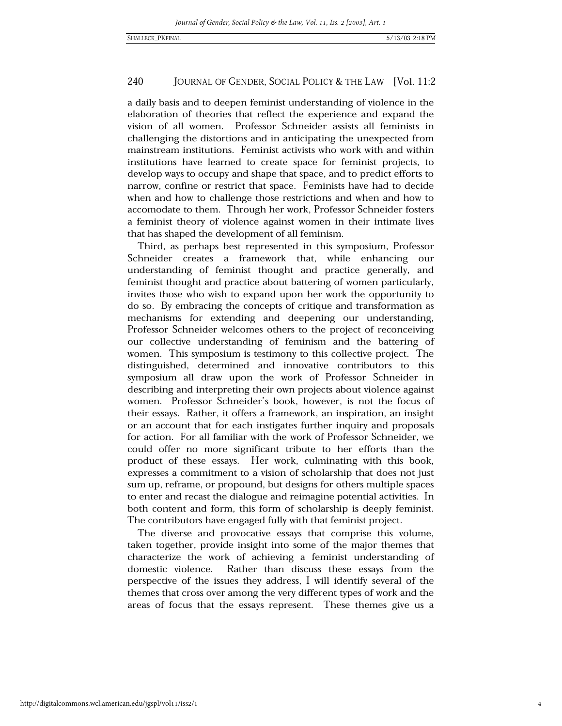a daily basis and to deepen feminist understanding of violence in the elaboration of theories that reflect the experience and expand the vision of all women. Professor Schneider assists all feminists in challenging the distortions and in anticipating the unexpected from mainstream institutions. Feminist activists who work with and within institutions have learned to create space for feminist projects, to develop ways to occupy and shape that space, and to predict efforts to narrow, confine or restrict that space. Feminists have had to decide when and how to challenge those restrictions and when and how to accomodate to them. Through her work, Professor Schneider fosters a feminist theory of violence against women in their intimate lives that has shaped the development of all feminism.

Third, as perhaps best represented in this symposium, Professor Schneider creates a framework that, while enhancing our understanding of feminist thought and practice generally, and feminist thought and practice about battering of women particularly, invites those who wish to expand upon her work the opportunity to do so. By embracing the concepts of critique and transformation as mechanisms for extending and deepening our understanding, Professor Schneider welcomes others to the project of reconceiving our collective understanding of feminism and the battering of women. This symposium is testimony to this collective project. The distinguished, determined and innovative contributors to this symposium all draw upon the work of Professor Schneider in describing and interpreting their own projects about violence against women. Professor Schneider's book, however, is not the focus of their essays. Rather, it offers a framework, an inspiration, an insight or an account that for each instigates further inquiry and proposals for action. For all familiar with the work of Professor Schneider, we could offer no more significant tribute to her efforts than the product of these essays. Her work, culminating with this book, expresses a commitment to a vision of scholarship that does not just sum up, reframe, or propound, but designs for others multiple spaces to enter and recast the dialogue and reimagine potential activities. In both content and form, this form of scholarship is deeply feminist. The contributors have engaged fully with that feminist project.

The diverse and provocative essays that comprise this volume, taken together, provide insight into some of the major themes that characterize the work of achieving a feminist understanding of domestic violence. Rather than discuss these essays from the perspective of the issues they address, I will identify several of the themes that cross over among the very different types of work and the areas of focus that the essays represent. These themes give us a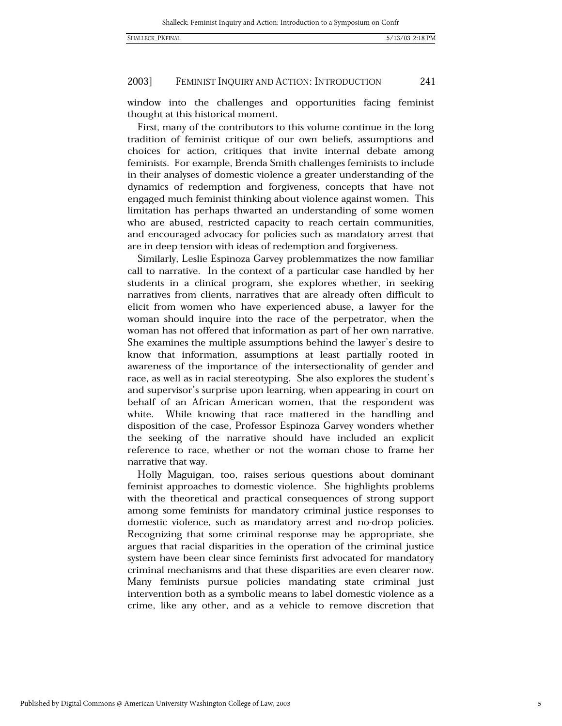#### 2003] FEMINIST INQUIRY AND ACTION: INTRODUCTION 241

window into the challenges and opportunities facing feminist thought at this historical moment.

First, many of the contributors to this volume continue in the long tradition of feminist critique of our own beliefs, assumptions and choices for action, critiques that invite internal debate among feminists. For example, Brenda Smith challenges feminists to include in their analyses of domestic violence a greater understanding of the dynamics of redemption and forgiveness, concepts that have not engaged much feminist thinking about violence against women. This limitation has perhaps thwarted an understanding of some women who are abused, restricted capacity to reach certain communities, and encouraged advocacy for policies such as mandatory arrest that are in deep tension with ideas of redemption and forgiveness.

Similarly, Leslie Espinoza Garvey problemmatizes the now familiar call to narrative. In the context of a particular case handled by her students in a clinical program, she explores whether, in seeking narratives from clients, narratives that are already often difficult to elicit from women who have experienced abuse, a lawyer for the woman should inquire into the race of the perpetrator, when the woman has not offered that information as part of her own narrative. She examines the multiple assumptions behind the lawyer's desire to know that information, assumptions at least partially rooted in awareness of the importance of the intersectionality of gender and race, as well as in racial stereotyping. She also explores the student's and supervisor's surprise upon learning, when appearing in court on behalf of an African American women, that the respondent was While knowing that race mattered in the handling and white. disposition of the case, Professor Espinoza Garvey wonders whether the seeking of the narrative should have included an explicit reference to race, whether or not the woman chose to frame her narrative that way.

Holly Maguigan, too, raises serious questions about dominant feminist approaches to domestic violence. She highlights problems with the theoretical and practical consequences of strong support among some feminists for mandatory criminal justice responses to domestic violence, such as mandatory arrest and no-drop policies. Recognizing that some criminal response may be appropriate, she argues that racial disparities in the operation of the criminal justice system have been clear since feminists first advocated for mandatory criminal mechanisms and that these disparities are even clearer now. Many feminists pursue policies mandating state criminal just intervention both as a symbolic means to label domestic violence as a crime, like any other, and as a vehicle to remove discretion that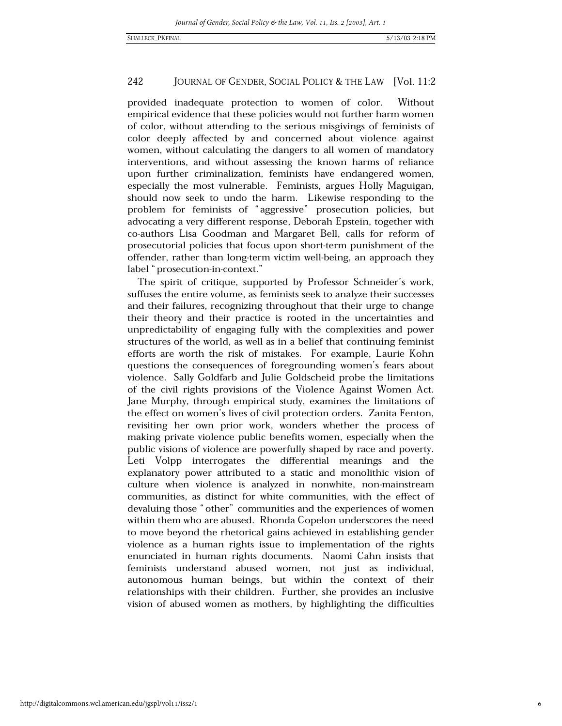provided inadequate protection to women of color. Without empirical evidence that these policies would not further harm women of color, without attending to the serious misgivings of feminists of color deeply affected by and concerned about violence against women, without calculating the dangers to all women of mandatory interventions, and without assessing the known harms of reliance upon further criminalization, feminists have endangered women, especially the most vulnerable. Feminists, argues Holly Maguigan, should now seek to undo the harm. Likewise responding to the problem for feminists of "aggressive" prosecution policies, but advocating a very different response, Deborah Epstein, together with co-authors Lisa Goodman and Margaret Bell, calls for reform of prosecutorial policies that focus upon short-term punishment of the offender, rather than long-term victim well-being, an approach they label "prosecution-in-context."

The spirit of critique, supported by Professor Schneider's work, suffuses the entire volume, as feminists seek to analyze their successes and their failures, recognizing throughout that their urge to change their theory and their practice is rooted in the uncertainties and unpredictability of engaging fully with the complexities and power structures of the world, as well as in a belief that continuing feminist efforts are worth the risk of mistakes. For example, Laurie Kohn questions the consequences of foregrounding women's fears about violence. Sally Goldfarb and Julie Goldscheid probe the limitations of the civil rights provisions of the Violence Against Women Act. Jane Murphy, through empirical study, examines the limitations of the effect on women's lives of civil protection orders. Zanita Fenton, revisiting her own prior work, wonders whether the process of making private violence public benefits women, especially when the public visions of violence are powerfully shaped by race and poverty. Leti Volpp interrogates the differential meanings and the explanatory power attributed to a static and monolithic vision of culture when violence is analyzed in nonwhite, non-mainstream communities, as distinct for white communities, with the effect of devaluing those "other" communities and the experiences of women within them who are abused. Rhonda Copelon underscores the need to move beyond the rhetorical gains achieved in establishing gender violence as a human rights issue to implementation of the rights enunciated in human rights documents. Naomi Cahn insists that feminists understand abused women, not just as individual, autonomous human beings, but within the context of their relationships with their children. Further, she provides an inclusive vision of abused women as mothers, by highlighting the difficulties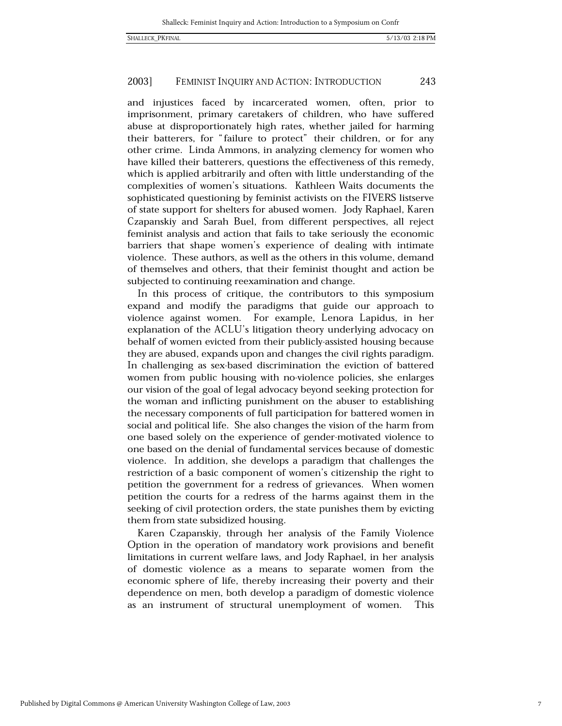#### 2003] FEMINIST INQUIRY AND ACTION: INTRODUCTION 243

and injustices faced by incarcerated women, often, prior to imprisonment, primary caretakers of children, who have suffered abuse at disproportionately high rates, whether jailed for harming their batterers, for "failure to protect" their children, or for any other crime. Linda Ammons, in analyzing clemency for women who have killed their batterers, questions the effectiveness of this remedy, which is applied arbitrarily and often with little understanding of the complexities of women's situations. Kathleen Waits documents the sophisticated questioning by feminist activists on the FIVERS listserve of state support for shelters for abused women. Jody Raphael, Karen Czapanskiy and Sarah Buel, from different perspectives, all reject feminist analysis and action that fails to take seriously the economic barriers that shape women's experience of dealing with intimate violence. These authors, as well as the others in this volume, demand of themselves and others, that their feminist thought and action be subjected to continuing reexamination and change.

In this process of critique, the contributors to this symposium expand and modify the paradigms that guide our approach to violence against women. For example, Lenora Lapidus, in her explanation of the ACLU's litigation theory underlying advocacy on behalf of women evicted from their publicly-assisted housing because they are abused, expands upon and changes the civil rights paradigm. In challenging as sex-based discrimination the eviction of battered women from public housing with no-violence policies, she enlarges our vision of the goal of legal advocacy beyond seeking protection for the woman and inflicting punishment on the abuser to establishing the necessary components of full participation for battered women in social and political life. She also changes the vision of the harm from one based solely on the experience of gender-motivated violence to one based on the denial of fundamental services because of domestic violence. In addition, she develops a paradigm that challenges the restriction of a basic component of women's citizenship the right to petition the government for a redress of grievances. When women petition the courts for a redress of the harms against them in the seeking of civil protection orders, the state punishes them by evicting them from state subsidized housing.

Karen Czapanskiy, through her analysis of the Family Violence Option in the operation of mandatory work provisions and benefit limitations in current welfare laws, and Jody Raphael, in her analysis of domestic violence as a means to separate women from the economic sphere of life, thereby increasing their poverty and their dependence on men, both develop a paradigm of domestic violence as an instrument of structural unemployment of women. This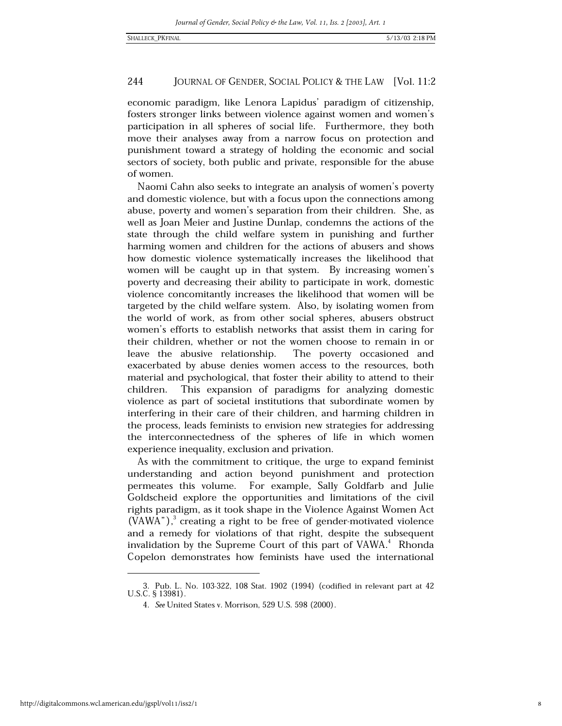economic paradigm, like Lenora Lapidus' paradigm of citizenship, fosters stronger links between violence against women and women's participation in all spheres of social life. Furthermore, they both move their analyses away from a narrow focus on protection and punishment toward a strategy of holding the economic and social sectors of society, both public and private, responsible for the abuse of women.

Naomi Cahn also seeks to integrate an analysis of women's poverty and domestic violence, but with a focus upon the connections among abuse, poverty and women's separation from their children. She, as well as Joan Meier and Justine Dunlap, condemns the actions of the state through the child welfare system in punishing and further harming women and children for the actions of abusers and shows how domestic violence systematically increases the likelihood that women will be caught up in that system. By increasing women's poverty and decreasing their ability to participate in work, domestic violence concomitantly increases the likelihood that women will be targeted by the child welfare system. Also, by isolating women from the world of work, as from other social spheres, abusers obstruct women's efforts to establish networks that assist them in caring for their children, whether or not the women choose to remain in or leave the abusive relationship. The poverty occasioned and exacerbated by abuse denies women access to the resources, both material and psychological, that foster their ability to attend to their This expansion of paradigms for analyzing domestic children. violence as part of societal institutions that subordinate women by interfering in their care of their children, and harming children in the process, leads feminists to envision new strategies for addressing the interconnectedness of the spheres of life in which women experience inequality, exclusion and privation.

As with the commitment to critique, the urge to expand feminist understanding and action beyond punishment and protection permeates this volume. For example, Sally Goldfarb and Julie Goldscheid explore the opportunities and limitations of the civil rights paradigm, as it took shape in the Violence Against Women Act  $(VAWA'')$ , creating a right to be free of gender-motivated violence and a remedy for violations of that right, despite the subsequent invalidation by the Supreme Court of this part of VAWA.<sup>4</sup> Rhonda Copelon demonstrates how feminists have used the international

<sup>3.</sup> Pub. L. No. 103-322, 108 Stat. 1902 (1994) (codified in relevant part at 42 U.S.C. § 13981).

<sup>4.</sup> See United States v. Morrison, 529 U.S. 598 (2000).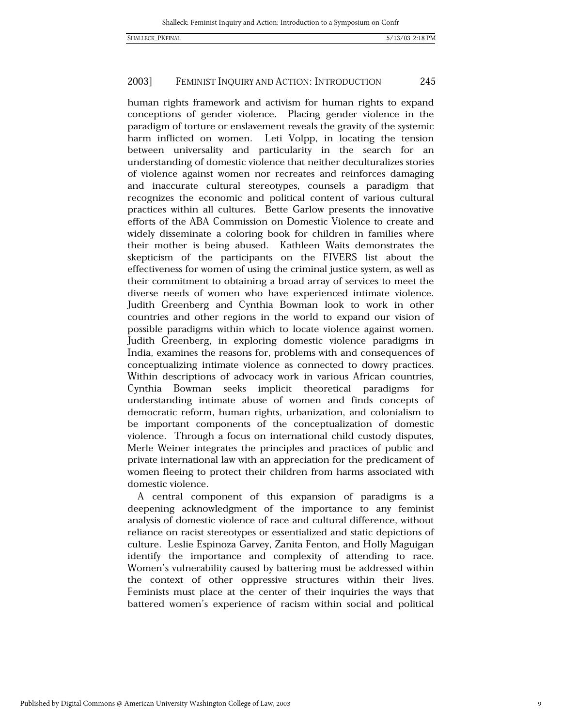#### 2003] FEMINIST INQUIRY AND ACTION: INTRODUCTION 245

human rights framework and activism for human rights to expand conceptions of gender violence. Placing gender violence in the paradigm of torture or enslavement reveals the gravity of the systemic harm inflicted on women. Leti Volpp, in locating the tension between universality and particularity in the search for an understanding of domestic violence that neither deculturalizes stories of violence against women nor recreates and reinforces damaging and inaccurate cultural stereotypes, counsels a paradigm that recognizes the economic and political content of various cultural practices within all cultures. Bette Garlow presents the innovative efforts of the ABA Commission on Domestic Violence to create and widely disseminate a coloring book for children in families where their mother is being abused. Kathleen Waits demonstrates the skepticism of the participants on the FIVERS list about the effectiveness for women of using the criminal justice system, as well as their commitment to obtaining a broad array of services to meet the diverse needs of women who have experienced intimate violence. Judith Greenberg and Cynthia Bowman look to work in other countries and other regions in the world to expand our vision of possible paradigms within which to locate violence against women. Judith Greenberg, in exploring domestic violence paradigms in India, examines the reasons for, problems with and consequences of conceptualizing intimate violence as connected to dowry practices. Within descriptions of advocacy work in various African countries, Cynthia Bowman seeks implicit theoretical paradigms for understanding intimate abuse of women and finds concepts of democratic reform, human rights, urbanization, and colonialism to be important components of the conceptualization of domestic violence. Through a focus on international child custody disputes, Merle Weiner integrates the principles and practices of public and private international law with an appreciation for the predicament of women fleeing to protect their children from harms associated with domestic violence.

A central component of this expansion of paradigms is a deepening acknowledgment of the importance to any feminist analysis of domestic violence of race and cultural difference, without reliance on racist stereotypes or essentialized and static depictions of culture. Leslie Espinoza Garvey, Zanita Fenton, and Holly Maguigan identify the importance and complexity of attending to race. Women's vulnerability caused by battering must be addressed within the context of other oppressive structures within their lives. Feminists must place at the center of their inquiries the ways that battered women's experience of racism within social and political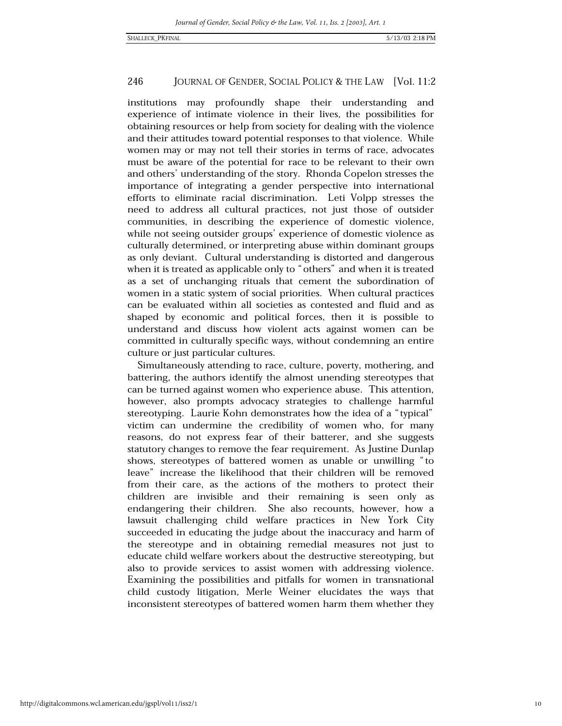institutions may profoundly shape their understanding and experience of intimate violence in their lives, the possibilities for obtaining resources or help from society for dealing with the violence and their attitudes toward potential responses to that violence. While women may or may not tell their stories in terms of race, advocates must be aware of the potential for race to be relevant to their own and others' understanding of the story. Rhonda Copelon stresses the importance of integrating a gender perspective into international efforts to eliminate racial discrimination. Leti Volpp stresses the need to address all cultural practices, not just those of outsider communities, in describing the experience of domestic violence, while not seeing outsider groups' experience of domestic violence as culturally determined, or interpreting abuse within dominant groups as only deviant. Cultural understanding is distorted and dangerous when it is treated as applicable only to "others" and when it is treated as a set of unchanging rituals that cement the subordination of women in a static system of social priorities. When cultural practices can be evaluated within all societies as contested and fluid and as shaped by economic and political forces, then it is possible to understand and discuss how violent acts against women can be committed in culturally specific ways, without condemning an entire culture or just particular cultures.

Simultaneously attending to race, culture, poverty, mothering, and battering, the authors identify the almost unending stereotypes that can be turned against women who experience abuse. This attention, however, also prompts advocacy strategies to challenge harmful stereotyping. Laurie Kohn demonstrates how the idea of a "typical" victim can undermine the credibility of women who, for many reasons, do not express fear of their batterer, and she suggests statutory changes to remove the fear requirement. As Justine Dunlap shows, stereotypes of battered women as unable or unwilling "to leave" increase the likelihood that their children will be removed from their care, as the actions of the mothers to protect their children are invisible and their remaining is seen only as endangering their children. She also recounts, however, how a lawsuit challenging child welfare practices in New York City succeeded in educating the judge about the inaccuracy and harm of the stereotype and in obtaining remedial measures not just to educate child welfare workers about the destructive stereotyping, but also to provide services to assist women with addressing violence. Examining the possibilities and pitfalls for women in transnational child custody litigation, Merle Weiner elucidates the ways that inconsistent stereotypes of battered women harm them whether they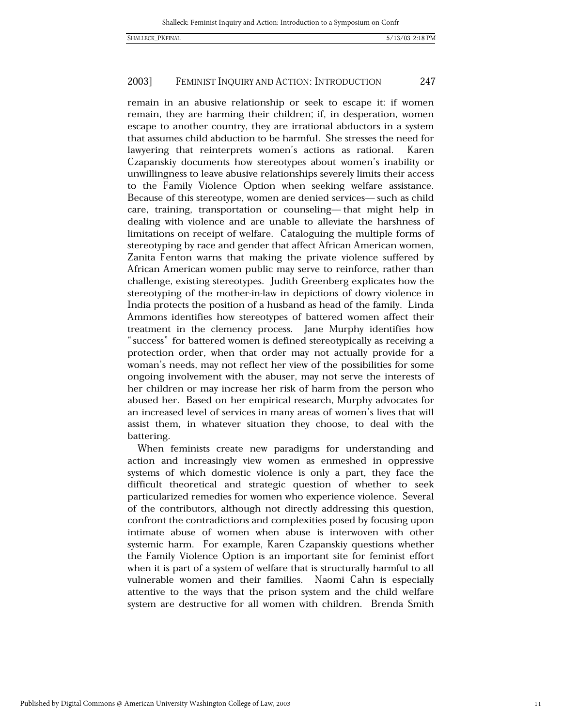#### 2003] FEMINIST INQUIRY AND ACTION: INTRODUCTION 247

remain in an abusive relationship or seek to escape it: if women remain, they are harming their children; if, in desperation, women escape to another country, they are irrational abductors in a system that assumes child abduction to be harmful. She stresses the need for lawyering that reinterprets women's actions as rational. Karen Czapanskiy documents how stereotypes about women's inability or unwillingness to leave abusive relationships severely limits their access to the Family Violence Option when seeking welfare assistance. Because of this stereotype, women are denied services—such as child care, training, transportation or counseling-that might help in dealing with violence and are unable to alleviate the harshness of limitations on receipt of welfare. Cataloguing the multiple forms of stereotyping by race and gender that affect African American women, Zanita Fenton warns that making the private violence suffered by African American women public may serve to reinforce, rather than challenge, existing stereotypes. Judith Greenberg explicates how the stereotyping of the mother-in-law in depictions of dowry violence in India protects the position of a husband as head of the family. Linda Ammons identifies how stereotypes of battered women affect their treatment in the clemency process. Jane Murphy identifies how "success" for battered women is defined stereotypically as receiving a protection order, when that order may not actually provide for a woman's needs, may not reflect her view of the possibilities for some ongoing involvement with the abuser, may not serve the interests of her children or may increase her risk of harm from the person who abused her. Based on her empirical research, Murphy advocates for an increased level of services in many areas of women's lives that will assist them, in whatever situation they choose, to deal with the battering.

When feminists create new paradigms for understanding and action and increasingly view women as enmeshed in oppressive systems of which domestic violence is only a part, they face the difficult theoretical and strategic question of whether to seek particularized remedies for women who experience violence. Several of the contributors, although not directly addressing this question, confront the contradictions and complexities posed by focusing upon intimate abuse of women when abuse is interwoven with other systemic harm. For example, Karen Czapanskiy questions whether the Family Violence Option is an important site for feminist effort when it is part of a system of welfare that is structurally harmful to all vulnerable women and their families. Naomi Cahn is especially attentive to the ways that the prison system and the child welfare system are destructive for all women with children. Brenda Smith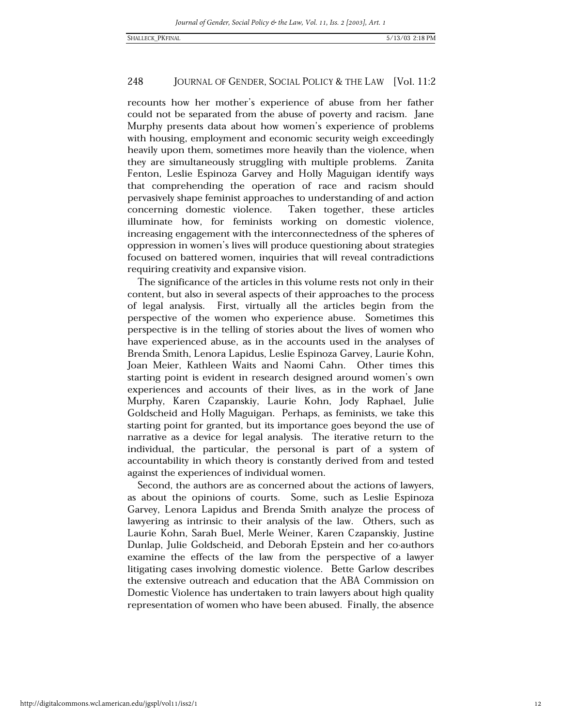recounts how her mother's experience of abuse from her father could not be separated from the abuse of poverty and racism. Jane Murphy presents data about how women's experience of problems with housing, employment and economic security weigh exceedingly heavily upon them, sometimes more heavily than the violence, when they are simultaneously struggling with multiple problems. Zanita Fenton, Leslie Espinoza Garvey and Holly Maguigan identify ways that comprehending the operation of race and racism should pervasively shape feminist approaches to understanding of and action concerning domestic violence. Taken together, these articles illuminate how, for feminists working on domestic violence, increasing engagement with the interconnectedness of the spheres of oppression in women's lives will produce questioning about strategies focused on battered women, inquiries that will reveal contradictions requiring creativity and expansive vision.

The significance of the articles in this volume rests not only in their content, but also in several aspects of their approaches to the process First, virtually all the articles begin from the of legal analysis. perspective of the women who experience abuse. Sometimes this perspective is in the telling of stories about the lives of women who have experienced abuse, as in the accounts used in the analyses of Brenda Smith, Lenora Lapidus, Leslie Espinoza Garvey, Laurie Kohn, Joan Meier, Kathleen Waits and Naomi Cahn. Other times this starting point is evident in research designed around women's own experiences and accounts of their lives, as in the work of Jane Murphy, Karen Czapanskiy, Laurie Kohn, Jody Raphael, Julie Goldscheid and Holly Maguigan. Perhaps, as feminists, we take this starting point for granted, but its importance goes beyond the use of narrative as a device for legal analysis. The iterative return to the individual, the particular, the personal is part of a system of accountability in which theory is constantly derived from and tested against the experiences of individual women.

Second, the authors are as concerned about the actions of lawyers, as about the opinions of courts. Some, such as Leslie Espinoza Garvey, Lenora Lapidus and Brenda Smith analyze the process of lawyering as intrinsic to their analysis of the law. Others, such as Laurie Kohn, Sarah Buel, Merle Weiner, Karen Czapanskiy, Justine Dunlap, Julie Goldscheid, and Deborah Epstein and her co-authors examine the effects of the law from the perspective of a lawyer litigating cases involving domestic violence. Bette Garlow describes the extensive outreach and education that the ABA Commission on Domestic Violence has undertaken to train lawyers about high quality representation of women who have been abused. Finally, the absence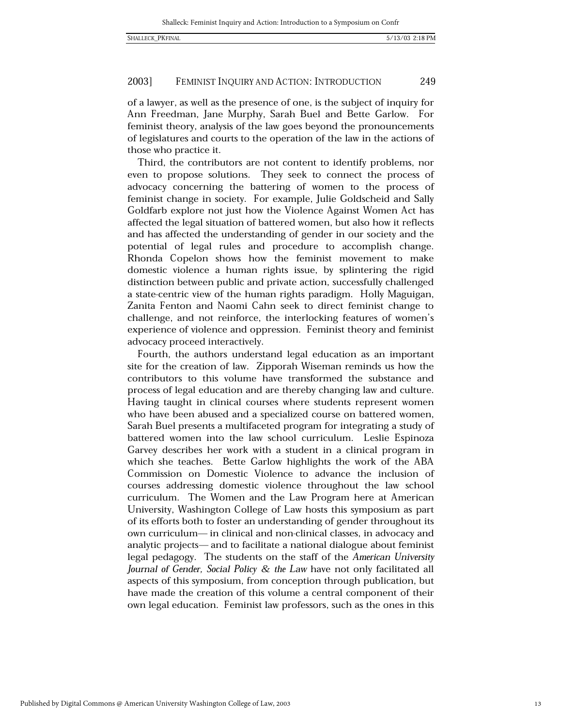#### 2003] FEMINIST INQUIRY AND ACTION: INTRODUCTION 249

of a lawyer, as well as the presence of one, is the subject of inquiry for Ann Freedman, Jane Murphy, Sarah Buel and Bette Garlow. For feminist theory, analysis of the law goes beyond the pronouncements of legislatures and courts to the operation of the law in the actions of those who practice it.

Third, the contributors are not content to identify problems, nor even to propose solutions. They seek to connect the process of advocacy concerning the battering of women to the process of feminist change in society. For example, Julie Goldscheid and Sally Goldfarb explore not just how the Violence Against Women Act has affected the legal situation of battered women, but also how it reflects and has affected the understanding of gender in our society and the potential of legal rules and procedure to accomplish change. Rhonda Copelon shows how the feminist movement to make domestic violence a human rights issue, by splintering the rigid distinction between public and private action, successfully challenged a state-centric view of the human rights paradigm. Holly Maguigan, Zanita Fenton and Naomi Cahn seek to direct feminist change to challenge, and not reinforce, the interlocking features of women's experience of violence and oppression. Feminist theory and feminist advocacy proceed interactively.

Fourth, the authors understand legal education as an important site for the creation of law. Zipporah Wiseman reminds us how the contributors to this volume have transformed the substance and process of legal education and are thereby changing law and culture. Having taught in clinical courses where students represent women who have been abused and a specialized course on battered women, Sarah Buel presents a multifaceted program for integrating a study of battered women into the law school curriculum. Leslie Espinoza Garvey describes her work with a student in a clinical program in which she teaches. Bette Garlow highlights the work of the ABA Commission on Domestic Violence to advance the inclusion of courses addressing domestic violence throughout the law school curriculum. The Women and the Law Program here at American University, Washington College of Law hosts this symposium as part of its efforts both to foster an understanding of gender throughout its own curriculum-in clinical and non-clinical classes, in advocacy and analytic projects—and to facilitate a national dialogue about feminist legal pedagogy. The students on the staff of the American University Journal of Gender, Social Policy & the Law have not only facilitated all aspects of this symposium, from conception through publication, but have made the creation of this volume a central component of their own legal education. Feminist law professors, such as the ones in this